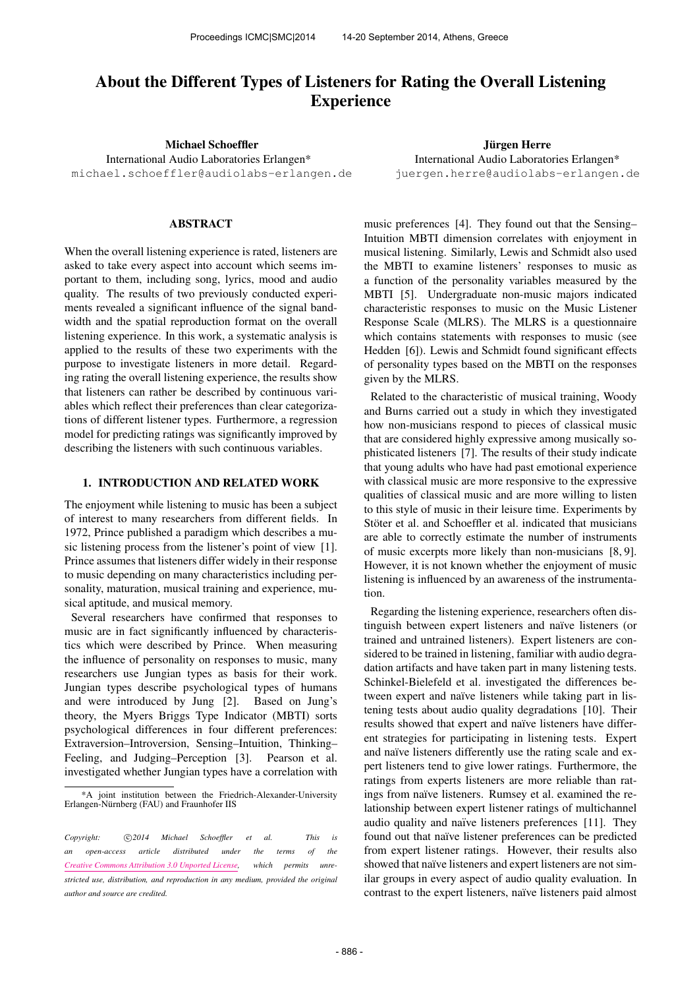# About the Different Types of Listeners for Rating the Overall Listening Experience

Michael Schoeffler

International Audio Laboratories Erlangen\* [michael.schoeffler@audiolabs-erlangen.de](mailto:michael.schoeffler@audiolabs-erlangen.de)

# ABSTRACT

When the overall listening experience is rated, listeners are asked to take every aspect into account which seems important to them, including song, lyrics, mood and audio quality. The results of two previously conducted experiments revealed a significant influence of the signal bandwidth and the spatial reproduction format on the overall listening experience. In this work, a systematic analysis is applied to the results of these two experiments with the purpose to investigate listeners in more detail. Regarding rating the overall listening experience, the results show that listeners can rather be described by continuous variables which reflect their preferences than clear categorizations of different listener types. Furthermore, a regression model for predicting ratings was significantly improved by describing the listeners with such continuous variables.

## 1. INTRODUCTION AND RELATED WORK

The enjoyment while listening to music has been a subject of interest to many researchers from different fields. In 1972, Prince published a paradigm which describes a music listening process from the listener's point of view [1]. Prince assumes that listeners differ widely in their response to music depending on many characteristics including personality, maturation, musical training and experience, musical aptitude, and musical memory.

Several researchers have confirmed that responses to music are in fact significantly influenced by characteristics which were described by Prince. When measuring the influence of personality on responses to music, many researchers use Jungian types as basis for their work. Jungian types describe psychological types of humans and were introduced by Jung [2]. Based on Jung's theory, the Myers Briggs Type Indicator (MBTI) sorts psychological differences in four different preferences: Extraversion–Introversion, Sensing–Intuition, Thinking– Feeling, and Judging–Perception [3]. Pearson et al. investigated whether Jungian types have a correlation with

Jürgen Herre International Audio Laboratories Erlangen\* [juergen.herre@audiolabs-erlangen.de](mailto:juergen.herre@audiolabs-erlangen.de)

music preferences [4]. They found out that the Sensing– Intuition MBTI dimension correlates with enjoyment in musical listening. Similarly, Lewis and Schmidt also used the MBTI to examine listeners' responses to music as a function of the personality variables measured by the MBTI [5]. Undergraduate non-music majors indicated characteristic responses to music on the Music Listener Response Scale (MLRS). The MLRS is a questionnaire which contains statements with responses to music (see Hedden [6]). Lewis and Schmidt found significant effects of personality types based on the MBTI on the responses given by the MLRS.

Related to the characteristic of musical training, Woody and Burns carried out a study in which they investigated how non-musicians respond to pieces of classical music that are considered highly expressive among musically sophisticated listeners [7]. The results of their study indicate that young adults who have had past emotional experience with classical music are more responsive to the expressive qualities of classical music and are more willing to listen to this style of music in their leisure time. Experiments by Stöter et al. and Schoeffler et al. indicated that musicians are able to correctly estimate the number of instruments of music excerpts more likely than non-musicians [8, 9]. However, it is not known whether the enjoyment of music listening is influenced by an awareness of the instrumentation.

Regarding the listening experience, researchers often distinguish between expert listeners and naïve listeners (or trained and untrained listeners). Expert listeners are considered to be trained in listening, familiar with audio degradation artifacts and have taken part in many listening tests. Schinkel-Bielefeld et al. investigated the differences between expert and naïve listeners while taking part in listening tests about audio quality degradations [10]. Their results showed that expert and naïve listeners have different strategies for participating in listening tests. Expert and naïve listeners differently use the rating scale and expert listeners tend to give lower ratings. Furthermore, the ratings from experts listeners are more reliable than ratings from naïve listeners. Rumsey et al. examined the relationship between expert listener ratings of multichannel audio quality and naïve listeners preferences [11]. They found out that naïve listener preferences can be predicted from expert listener ratings. However, their results also showed that naïve listeners and expert listeners are not similar groups in every aspect of audio quality evaluation. In contrast to the expert listeners, naïve listeners paid almost

<sup>\*</sup>A joint institution between the Friedrich-Alexander-University Erlangen-Nürnberg (FAU) and Fraunhofer IIS

Copyright:  $\bigcirc$ 2014 Michael Schoeffler et al. This is *an open-access article distributed under the terms of the [Creative Commons Attribution 3.0 Unported License,](http://creativecommons.org/licenses/by/3.0/) which permits unrestricted use, distribution, and reproduction in any medium, provided the original author and source are credited.*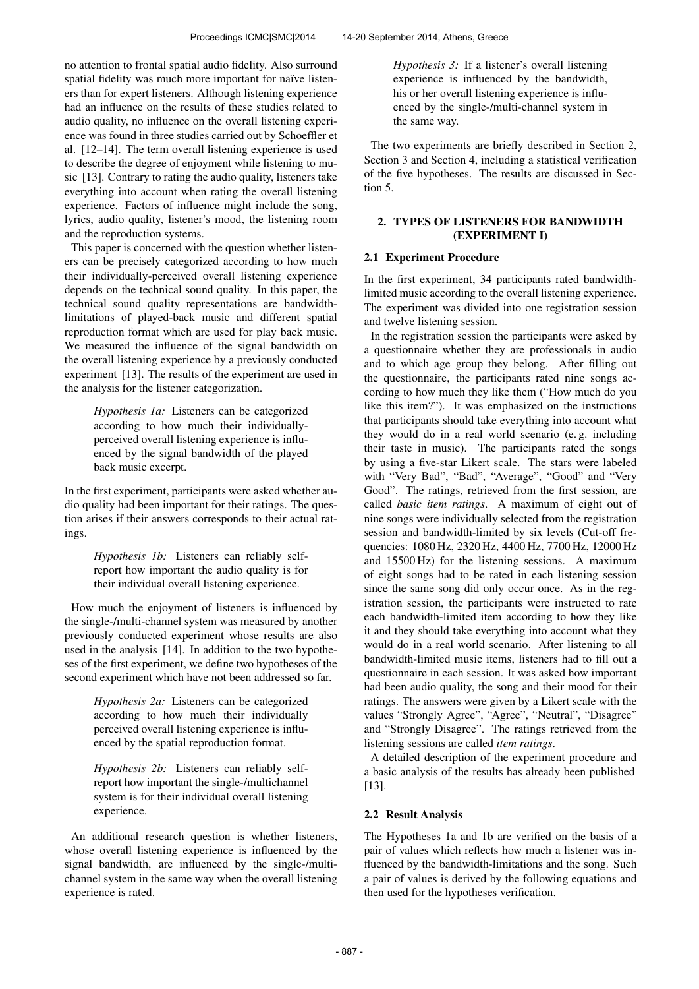no attention to frontal spatial audio fidelity. Also surround spatial fidelity was much more important for naïve listeners than for expert listeners. Although listening experience had an influence on the results of these studies related to audio quality, no influence on the overall listening experience was found in three studies carried out by Schoeffler et al. [12–14]. The term overall listening experience is used to describe the degree of enjoyment while listening to music [13]. Contrary to rating the audio quality, listeners take everything into account when rating the overall listening experience. Factors of influence might include the song, lyrics, audio quality, listener's mood, the listening room and the reproduction systems.

This paper is concerned with the question whether listeners can be precisely categorized according to how much their individually-perceived overall listening experience depends on the technical sound quality. In this paper, the technical sound quality representations are bandwidthlimitations of played-back music and different spatial reproduction format which are used for play back music. We measured the influence of the signal bandwidth on the overall listening experience by a previously conducted experiment [13]. The results of the experiment are used in the analysis for the listener categorization.

> *Hypothesis 1a:* Listeners can be categorized according to how much their individuallyperceived overall listening experience is influenced by the signal bandwidth of the played back music excerpt.

In the first experiment, participants were asked whether audio quality had been important for their ratings. The question arises if their answers corresponds to their actual ratings.

> *Hypothesis 1b:* Listeners can reliably selfreport how important the audio quality is for their individual overall listening experience.

How much the enjoyment of listeners is influenced by the single-/multi-channel system was measured by another previously conducted experiment whose results are also used in the analysis [14]. In addition to the two hypotheses of the first experiment, we define two hypotheses of the second experiment which have not been addressed so far.

> *Hypothesis 2a:* Listeners can be categorized according to how much their individually perceived overall listening experience is influenced by the spatial reproduction format.

> *Hypothesis 2b:* Listeners can reliably selfreport how important the single-/multichannel system is for their individual overall listening experience.

An additional research question is whether listeners, whose overall listening experience is influenced by the signal bandwidth, are influenced by the single-/multichannel system in the same way when the overall listening experience is rated.

*Hypothesis 3:* If a listener's overall listening experience is influenced by the bandwidth, his or her overall listening experience is influenced by the single-/multi-channel system in the same way.

The two experiments are briefly described in Section 2, Section 3 and Section 4, including a statistical verification of the five hypotheses. The results are discussed in Section 5.

# 2. TYPES OF LISTENERS FOR BANDWIDTH (EXPERIMENT I)

# 2.1 Experiment Procedure

In the first experiment, 34 participants rated bandwidthlimited music according to the overall listening experience. The experiment was divided into one registration session and twelve listening session.

In the registration session the participants were asked by a questionnaire whether they are professionals in audio and to which age group they belong. After filling out the questionnaire, the participants rated nine songs according to how much they like them ("How much do you like this item?"). It was emphasized on the instructions that participants should take everything into account what they would do in a real world scenario (e. g. including their taste in music). The participants rated the songs by using a five-star Likert scale. The stars were labeled with "Very Bad", "Bad", "Average", "Good" and "Very Good". The ratings, retrieved from the first session, are called *basic item ratings*. A maximum of eight out of nine songs were individually selected from the registration session and bandwidth-limited by six levels (Cut-off frequencies: 1080 Hz, 2320 Hz, 4400 Hz, 7700 Hz, 12000 Hz and 15500 Hz) for the listening sessions. A maximum of eight songs had to be rated in each listening session since the same song did only occur once. As in the registration session, the participants were instructed to rate each bandwidth-limited item according to how they like it and they should take everything into account what they would do in a real world scenario. After listening to all bandwidth-limited music items, listeners had to fill out a questionnaire in each session. It was asked how important had been audio quality, the song and their mood for their ratings. The answers were given by a Likert scale with the values "Strongly Agree", "Agree", "Neutral", "Disagree" and "Strongly Disagree". The ratings retrieved from the listening sessions are called *item ratings*.

A detailed description of the experiment procedure and a basic analysis of the results has already been published [13].

# 2.2 Result Analysis

The Hypotheses 1a and 1b are verified on the basis of a pair of values which reflects how much a listener was influenced by the bandwidth-limitations and the song. Such a pair of values is derived by the following equations and then used for the hypotheses verification.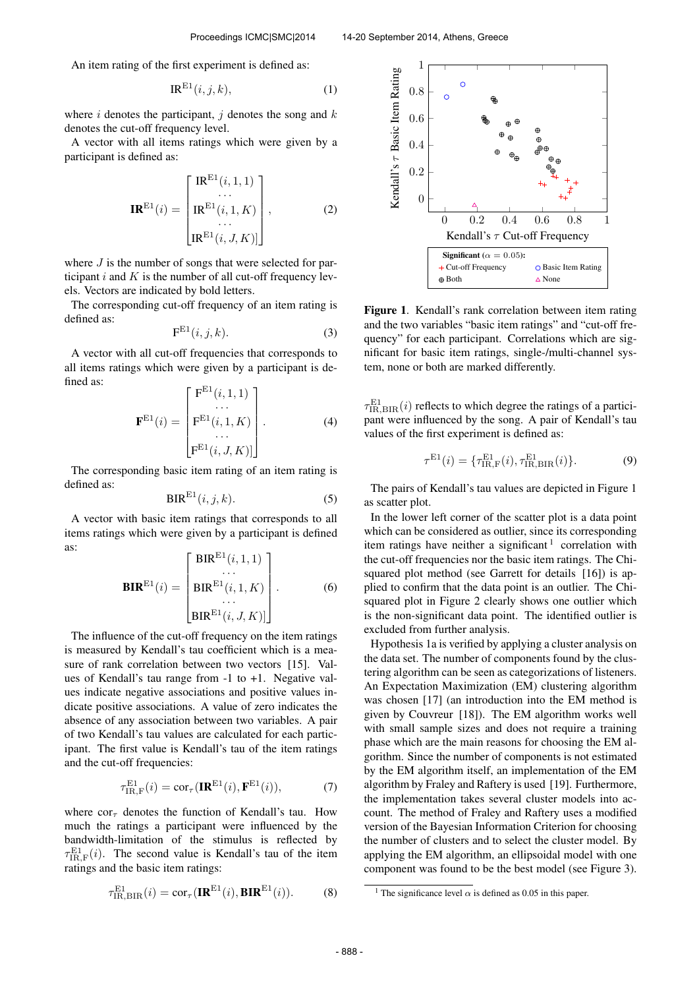An item rating of the first experiment is defined as:

$$
IR^{E1}(i,j,k),\tag{1}
$$

where i denotes the participant, j denotes the song and  $k$ denotes the cut-off frequency level.

A vector with all items ratings which were given by a participant is defined as:

$$
\mathbf{IR}^{\mathrm{E1}}(i) = \begin{bmatrix} \mathrm{IR}^{\mathrm{E1}}(i,1,1) \\ \cdots \\ \mathrm{IR}^{\mathrm{E1}}(i,1,K) \\ \cdots \\ \mathrm{IR}^{\mathrm{E1}}(i,J,K) \end{bmatrix},
$$
(2)

where  $J$  is the number of songs that were selected for participant  $i$  and  $K$  is the number of all cut-off frequency levels. Vectors are indicated by bold letters.

The corresponding cut-off frequency of an item rating is defined as:

$$
\mathbf{F}^{\mathrm{E1}}(i,j,k). \tag{3}
$$

A vector with all cut-off frequencies that corresponds to all items ratings which were given by a participant is defined as:  $E = \text{E1}$  i,  $\frac{1}{2}$ 

$$
\mathbf{F}^{\mathrm{E1}}(i) = \begin{bmatrix} \mathbf{F}^{\mathrm{E1}}(i,1,1) \\ \cdots \\ \mathbf{F}^{\mathrm{E1}}(i,1,K) \\ \cdots \\ \mathbf{F}^{\mathrm{E1}}(i,J,K) \end{bmatrix} . \tag{4}
$$

The corresponding basic item rating of an item rating is defined as:

$$
BIR^{E1}(i,j,k). \tag{5}
$$

A vector with basic item ratings that corresponds to all items ratings which were given by a participant is defined as:

$$
\mathbf{BIR}^{\mathrm{E1}}(i) = \begin{bmatrix} \text{BIR}^{\mathrm{E1}}(i,1,1) \\ \dots \\ \text{BIR}^{\mathrm{E1}}(i,1,K) \\ \dots \\ \text{BIR}^{\mathrm{E1}}(i,J,K) \end{bmatrix} .
$$
 (6)

The influence of the cut-off frequency on the item ratings is measured by Kendall's tau coefficient which is a measure of rank correlation between two vectors [15]. Values of Kendall's tau range from -1 to +1. Negative values indicate negative associations and positive values indicate positive associations. A value of zero indicates the absence of any association between two variables. A pair of two Kendall's tau values are calculated for each participant. The first value is Kendall's tau of the item ratings and the cut-off frequencies:

$$
\tau_{\text{IR},\text{F}}^{\text{E1}}(i) = \text{cor}_{\tau}(\mathbf{IR}^{\text{E1}}(i), \mathbf{F}^{\text{E1}}(i)),\tag{7}
$$

where  $\text{cor}_{\tau}$  denotes the function of Kendall's tau. How much the ratings a participant were influenced by the bandwidth-limitation of the stimulus is reflected by  $\tau_{\text{IR},\text{F}}^{\text{E1}}(i)$ . The second value is Kendall's tau of the item ratings and the basic item ratings:

$$
\tau_{\text{IR,BIR}}^{\text{E1}}(i) = \text{cor}_{\tau}(\mathbf{IR}^{\text{E1}}(i), \mathbf{BIR}^{\text{E1}}(i)).
$$
 (8)



Figure 1. Kendall's rank correlation between item rating and the two variables "basic item ratings" and "cut-off frequency" for each participant. Correlations which are significant for basic item ratings, single-/multi-channel system, none or both are marked differently.

 $\tau_{\text{IR,BIR}}^{\text{E1}}(i)$  reflects to which degree the ratings of a participant were influenced by the song. A pair of Kendall's tau values of the first experiment is defined as:

$$
\tau^{E1}(i) = \{\tau_{\text{IR},\text{F}}^{\text{E1}}(i), \tau_{\text{IR},\text{BIR}}^{\text{E1}}(i)\}.
$$
 (9)

The pairs of Kendall's tau values are depicted in Figure 1 as scatter plot.

In the lower left corner of the scatter plot is a data point which can be considered as outlier, since its corresponding item ratings have neither a significant<sup>1</sup> correlation with the cut-off frequencies nor the basic item ratings. The Chisquared plot method (see Garrett for details [16]) is applied to confirm that the data point is an outlier. The Chisquared plot in Figure 2 clearly shows one outlier which is the non-significant data point. The identified outlier is excluded from further analysis.

Hypothesis 1a is verified by applying a cluster analysis on the data set. The number of components found by the clustering algorithm can be seen as categorizations of listeners. An Expectation Maximization (EM) clustering algorithm was chosen [17] (an introduction into the EM method is given by Couvreur [18]). The EM algorithm works well with small sample sizes and does not require a training phase which are the main reasons for choosing the EM algorithm. Since the number of components is not estimated by the EM algorithm itself, an implementation of the EM algorithm by Fraley and Raftery is used [19]. Furthermore, the implementation takes several cluster models into account. The method of Fraley and Raftery uses a modified version of the Bayesian Information Criterion for choosing the number of clusters and to select the cluster model. By applying the EM algorithm, an ellipsoidal model with one component was found to be the best model (see Figure 3).

<sup>&</sup>lt;sup>1</sup> The significance level  $\alpha$  is defined as 0.05 in this paper.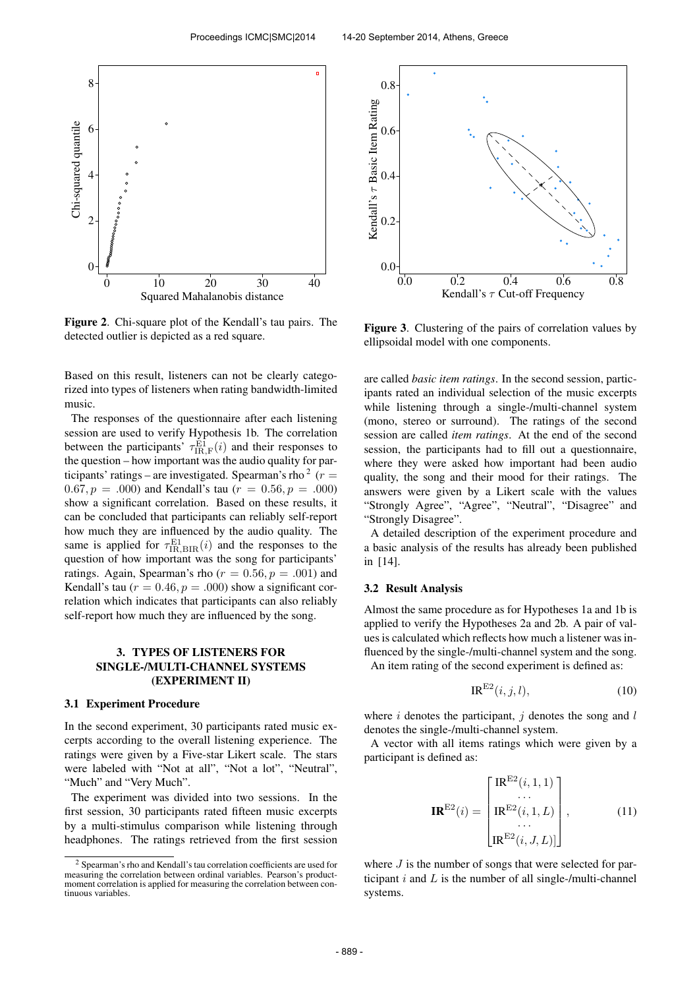

Figure 2. Chi-square plot of the Kendall's tau pairs. The detected outlier is depicted as a red square.

Based on this result, listeners can not be clearly categorized into types of listeners when rating bandwidth-limited music.

The responses of the questionnaire after each listening session are used to verify Hypothesis 1b. The correlation between the participants'  $\tau_{IR,F}^{\text{E1}}(i)$  and their responses to the question – how important was the audio quality for participants' ratings – are investigated. Spearman's rho  $2(r=$  $(0.67, p = .000)$  and Kendall's tau  $(r = 0.56, p = .000)$ show a significant correlation. Based on these results, it can be concluded that participants can reliably self-report how much they are influenced by the audio quality. The same is applied for  $\tau_{\text{IR,BIR}}^{\text{E1}}(i)$  and the responses to the question of how important was the song for participants' ratings. Again, Spearman's rho ( $r = 0.56$ ,  $p = .001$ ) and Kendall's tau ( $r = 0.46$ ,  $p = .000$ ) show a significant correlation which indicates that participants can also reliably self-report how much they are influenced by the song.

## 3. TYPES OF LISTENERS FOR SINGLE-/MULTI-CHANNEL SYSTEMS (EXPERIMENT II)

#### 3.1 Experiment Procedure

In the second experiment, 30 participants rated music excerpts according to the overall listening experience. The ratings were given by a Five-star Likert scale. The stars were labeled with "Not at all", "Not a lot", "Neutral", "Much" and "Very Much".

The experiment was divided into two sessions. In the first session, 30 participants rated fifteen music excerpts by a multi-stimulus comparison while listening through headphones. The ratings retrieved from the first session



Figure 3. Clustering of the pairs of correlation values by ellipsoidal model with one components.

are called *basic item ratings*. In the second session, participants rated an individual selection of the music excerpts while listening through a single-/multi-channel system (mono, stereo or surround). The ratings of the second session are called *item ratings*. At the end of the second session, the participants had to fill out a questionnaire, where they were asked how important had been audio quality, the song and their mood for their ratings. The answers were given by a Likert scale with the values "Strongly Agree", "Agree", "Neutral", "Disagree" and "Strongly Disagree".

A detailed description of the experiment procedure and a basic analysis of the results has already been published in [14].

#### 3.2 Result Analysis

Almost the same procedure as for Hypotheses 1a and 1b is applied to verify the Hypotheses 2a and 2b. A pair of values is calculated which reflects how much a listener was influenced by the single-/multi-channel system and the song. An item rating of the second experiment is defined as:

$$
IR^{E2}(i,j,l),\tag{10}
$$

where  $i$  denotes the participant,  $j$  denotes the song and  $l$ denotes the single-/multi-channel system.

A vector with all items ratings which were given by a participant is defined as:

$$
\mathbf{IR}^{\mathrm{E2}}(i) = \begin{bmatrix} \mathrm{IR}^{\mathrm{E2}}(i,1,1) \\ \cdots \\ \mathrm{IR}^{\mathrm{E2}}(i,1,L) \\ \cdots \\ \mathrm{IR}^{\mathrm{E2}}(i,J,L)] \end{bmatrix}, \tag{11}
$$

where  $J$  is the number of songs that were selected for participant  $i$  and  $L$  is the number of all single-/multi-channel systems.

<sup>2</sup> Spearman's rho and Kendall's tau correlation coefficients are used for measuring the correlation between ordinal variables. Pearson's productmoment correlation is applied for measuring the correlation between continuous variables.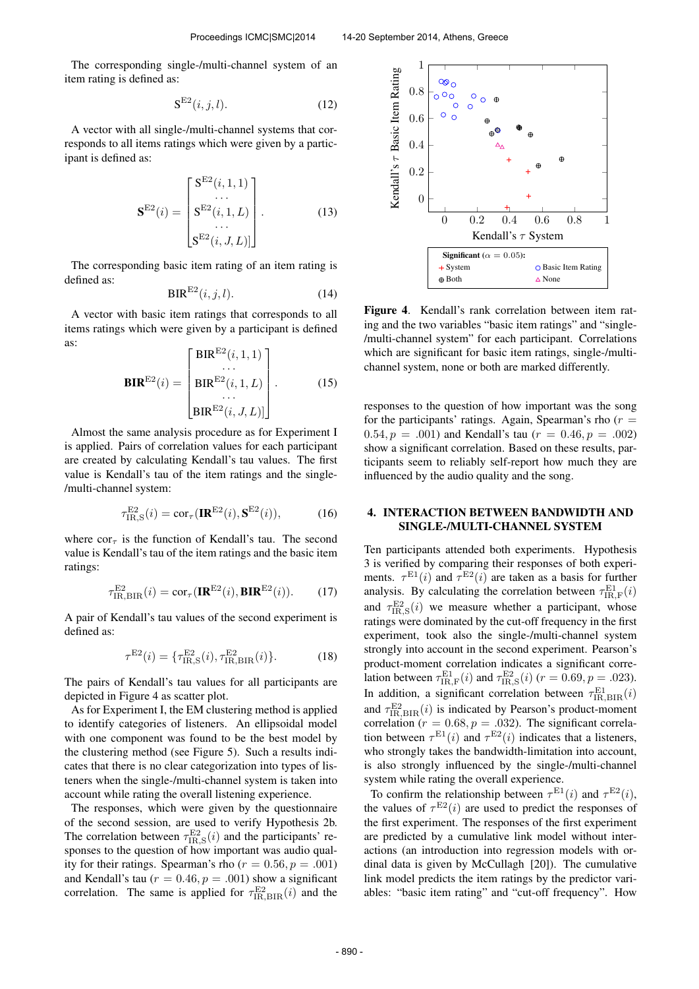The corresponding single-/multi-channel system of an item rating is defined as:

$$
\mathbf{S}^{\mathrm{E2}}(i,j,l). \tag{12}
$$

A vector with all single-/multi-channel systems that corresponds to all items ratings which were given by a participant is defined as:

$$
\mathbf{S}^{\mathrm{E2}}(i) = \begin{bmatrix} \mathbf{S}^{\mathrm{E2}}(i,1,1) \\ \cdots \\ \mathbf{S}^{\mathrm{E2}}(i,1,L) \\ \cdots \\ \mathbf{S}^{\mathrm{E2}}(i,J,L)] \end{bmatrix} .
$$
 (13)

The corresponding basic item rating of an item rating is defined as:

$$
BIR^{E2}(i,j,l). \t(14)
$$

A vector with basic item ratings that corresponds to all items ratings which were given by a participant is defined as:

$$
\mathbf{BIR}^{\mathrm{E2}}(i) = \begin{bmatrix} \text{BIR}^{\mathrm{E2}}(i, 1, 1) \\ \dots \\ \text{BIR}^{\mathrm{E2}}(i, 1, L) \\ \dots \\ \text{BIR}^{\mathrm{E2}}(i, J, L) \end{bmatrix} .
$$
 (15)

Almost the same analysis procedure as for Experiment I is applied. Pairs of correlation values for each participant are created by calculating Kendall's tau values. The first value is Kendall's tau of the item ratings and the single- /multi-channel system:

$$
\tau_{\text{IR},\text{S}}^{\text{E2}}(i) = \text{cor}_{\tau}(\mathbf{IR}^{\text{E2}}(i), \mathbf{S}^{\text{E2}}(i)),\tag{16}
$$

where  $\text{cor}_{\tau}$  is the function of Kendall's tau. The second value is Kendall's tau of the item ratings and the basic item ratings:

$$
\tau_{\text{IR,BIR}}^{\text{E2}}(i) = \text{cor}_{\tau}(\mathbf{IR}^{\text{E2}}(i), \mathbf{BIR}^{\text{E2}}(i)).
$$
 (17)

A pair of Kendall's tau values of the second experiment is defined as:

$$
\tau^{E2}(i) = \{\tau_{\text{IR},\text{S}}^{E2}(i), \tau_{\text{IR},\text{BIR}}^{E2}(i)\}.
$$
 (18)

The pairs of Kendall's tau values for all participants are depicted in Figure 4 as scatter plot.

As for Experiment I, the EM clustering method is applied to identify categories of listeners. An ellipsoidal model with one component was found to be the best model by the clustering method (see Figure 5). Such a results indicates that there is no clear categorization into types of listeners when the single-/multi-channel system is taken into account while rating the overall listening experience.

The responses, which were given by the questionnaire of the second session, are used to verify Hypothesis 2b. The correlation between  $\tau_{\text{IR},S}^{\text{E2}}(i)$  and the participants' responses to the question of how important was audio quality for their ratings. Spearman's rho ( $r = 0.56$ ,  $p = .001$ ) and Kendall's tau ( $r = 0.46$ ,  $p = .001$ ) show a significant correlation. The same is applied for  $\tau_{\text{IR,BIR}}^{\text{E2}}(i)$  and the



Figure 4. Kendall's rank correlation between item rating and the two variables "basic item ratings" and "single- /multi-channel system" for each participant. Correlations which are significant for basic item ratings, single-/multichannel system, none or both are marked differently.

responses to the question of how important was the song for the participants' ratings. Again, Spearman's rho  $(r =$ 0.54,  $p = .001$  and Kendall's tau  $(r = 0.46, p = .002)$ show a significant correlation. Based on these results, participants seem to reliably self-report how much they are influenced by the audio quality and the song.

## 4. INTERACTION BETWEEN BANDWIDTH AND SINGLE-/MULTI-CHANNEL SYSTEM

Ten participants attended both experiments. Hypothesis 3 is verified by comparing their responses of both experiments.  $\tau^{E1}(i)$  and  $\tau^{E2}(i)$  are taken as a basis for further analysis. By calculating the correlation between  $\tau_{\text{IR},\text{F}}^{\text{E1}}(i)$ and  $\tau_{\text{IR},\text{S}}^{\text{E2}}(i)$  we measure whether a participant, whose ratings were dominated by the cut-off frequency in the first experiment, took also the single-/multi-channel system strongly into account in the second experiment. Pearson's product-moment correlation indicates a significant correlation between  $\tau_{\text{IR},\text{F}}^{\text{E1}}(i)$  and  $\tau_{\text{IR},\text{S}}^{\text{E2}}(i)$  ( $r = 0.69, p = .023$ ). In addition, a significant correlation between  $\tau_{\text{IR,BIR}}^{\text{E1}}(i)$ and  $\tau_{\text{IR,BIR}}^{\text{E2}}(i)$  is indicated by Pearson's product-moment correlation ( $r = 0.68$ ,  $p = .032$ ). The significant correlation between  $\tau^{E1}(i)$  and  $\tau^{E2}(i)$  indicates that a listeners, who strongly takes the bandwidth-limitation into account, is also strongly influenced by the single-/multi-channel system while rating the overall experience.

To confirm the relationship between  $\tau^{\text{E1}}(i)$  and  $\tau^{\text{E2}}(i)$ , the values of  $\tau^{E2}(i)$  are used to predict the responses of the first experiment. The responses of the first experiment are predicted by a cumulative link model without interactions (an introduction into regression models with ordinal data is given by McCullagh [20]). The cumulative link model predicts the item ratings by the predictor variables: "basic item rating" and "cut-off frequency". How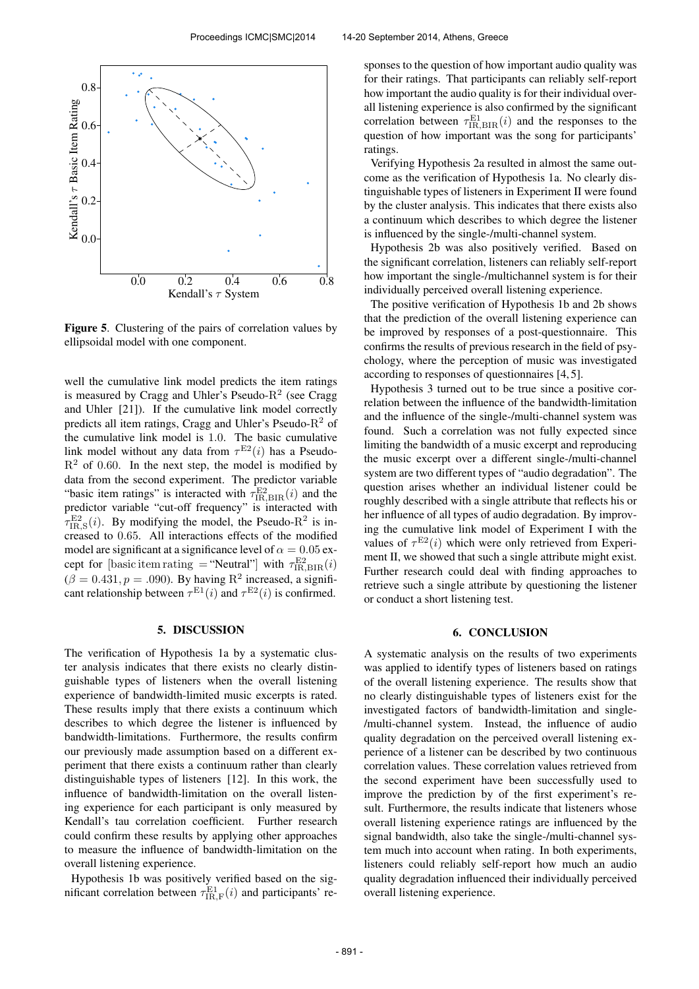

Figure 5. Clustering of the pairs of correlation values by ellipsoidal model with one component.

well the cumulative link model predicts the item ratings is measured by Cragg and Uhler's Pseudo- $R^2$  (see Cragg and Uhler [21]). If the cumulative link model correctly predicts all item ratings, Cragg and Uhler's Pseudo- $R^2$  of the cumulative link model is 1.0. The basic cumulative link model without any data from  $\tau^{E2}(i)$  has a Pseudo- $R<sup>2</sup>$  of 0.60. In the next step, the model is modified by data from the second experiment. The predictor variable "basic item ratings" is interacted with  $\tau_{\text{IR,BIR}}^{\text{E2}}(i)$  and the predictor variable "cut-off frequency" is interacted with  $\tau_{\text{IR},\text{S}}^{\text{E2}}(i)$ . By modifying the model, the Pseudo-R<sup>2</sup> is increased to 0.65. All interactions effects of the modified model are significant at a significance level of  $\alpha = 0.05$  except for [basic item rating = "Neutral"] with  $\tau_{\text{IR,BIR}}^{\text{E2}}(i)$  $(\beta = 0.431, p = .090)$ . By having R<sup>2</sup> increased, a significant relationship between  $\tau^{\text{E1}}(i)$  and  $\tau^{\text{E2}}(i)$  is confirmed.

## 5. DISCUSSION

The verification of Hypothesis 1a by a systematic cluster analysis indicates that there exists no clearly distinguishable types of listeners when the overall listening experience of bandwidth-limited music excerpts is rated. These results imply that there exists a continuum which describes to which degree the listener is influenced by bandwidth-limitations. Furthermore, the results confirm our previously made assumption based on a different experiment that there exists a continuum rather than clearly distinguishable types of listeners [12]. In this work, the influence of bandwidth-limitation on the overall listening experience for each participant is only measured by Kendall's tau correlation coefficient. Further research could confirm these results by applying other approaches to measure the influence of bandwidth-limitation on the overall listening experience.

Hypothesis 1b was positively verified based on the significant correlation between  $\tau_{\text{IR},\text{F}}^{\text{E1}}(i)$  and participants' responses to the question of how important audio quality was for their ratings. That participants can reliably self-report how important the audio quality is for their individual overall listening experience is also confirmed by the significant correlation between  $\tau_{\text{IR,BIR}}^{\text{E1}}(i)$  and the responses to the question of how important was the song for participants' ratings.

Verifying Hypothesis 2a resulted in almost the same outcome as the verification of Hypothesis 1a. No clearly distinguishable types of listeners in Experiment II were found by the cluster analysis. This indicates that there exists also a continuum which describes to which degree the listener is influenced by the single-/multi-channel system.

Hypothesis 2b was also positively verified. Based on the significant correlation, listeners can reliably self-report how important the single-/multichannel system is for their individually perceived overall listening experience.

The positive verification of Hypothesis 1b and 2b shows that the prediction of the overall listening experience can be improved by responses of a post-questionnaire. This confirms the results of previous research in the field of psychology, where the perception of music was investigated according to responses of questionnaires [4, 5].

Hypothesis 3 turned out to be true since a positive correlation between the influence of the bandwidth-limitation and the influence of the single-/multi-channel system was found. Such a correlation was not fully expected since limiting the bandwidth of a music excerpt and reproducing the music excerpt over a different single-/multi-channel system are two different types of "audio degradation". The question arises whether an individual listener could be roughly described with a single attribute that reflects his or her influence of all types of audio degradation. By improving the cumulative link model of Experiment I with the values of  $\tau^{E2}(i)$  which were only retrieved from Experiment II, we showed that such a single attribute might exist. Further research could deal with finding approaches to retrieve such a single attribute by questioning the listener or conduct a short listening test.

### 6. CONCLUSION

A systematic analysis on the results of two experiments was applied to identify types of listeners based on ratings of the overall listening experience. The results show that no clearly distinguishable types of listeners exist for the investigated factors of bandwidth-limitation and single- /multi-channel system. Instead, the influence of audio quality degradation on the perceived overall listening experience of a listener can be described by two continuous correlation values. These correlation values retrieved from the second experiment have been successfully used to improve the prediction by of the first experiment's result. Furthermore, the results indicate that listeners whose overall listening experience ratings are influenced by the signal bandwidth, also take the single-/multi-channel system much into account when rating. In both experiments, listeners could reliably self-report how much an audio quality degradation influenced their individually perceived overall listening experience.